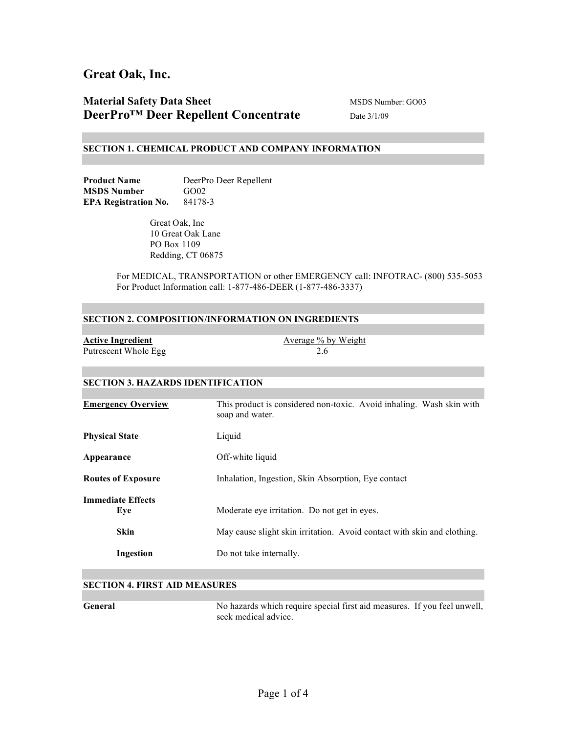### **Material Safety Data Sheet** MSDS Number: GO03 **DeerPro™ Deer Repellent Concentrate** Date 3/1/09

#### **SECTION 1. CHEMICAL PRODUCT AND COMPANY INFORMATION**

Product Name<br>
DeerPro Deer Repellent **MSDS Number** GO02 **EPA Registration No.** 84178-3

> Great Oak, Inc 10 Great Oak Lane PO Box 1109 Redding, CT 06875

For MEDICAL, TRANSPORTATION or other EMERGENCY call: INFOTRAC- (800) 535-5053 For Product Information call: 1-877-486-DEER (1-877-486-3337)

### **SECTION 2. COMPOSITION/INFORMATION ON INGREDIENTS**

| <b>Active Ingredient</b> | Average % by Weight |
|--------------------------|---------------------|
| Putrescent Whole Egg     |                     |

### **SECTION 3. HAZARDS IDENTIFICATION**

| <b>Emergency Overview</b>       | This product is considered non-toxic. Avoid inhaling. Wash skin with<br>soap and water. |
|---------------------------------|-----------------------------------------------------------------------------------------|
| <b>Physical State</b>           | Liquid                                                                                  |
| Appearance                      | Off-white liquid                                                                        |
| <b>Routes of Exposure</b>       | Inhalation, Ingestion, Skin Absorption, Eye contact                                     |
| <b>Immediate Effects</b><br>Eve | Moderate eye irritation. Do not get in eyes.                                            |
| <b>Skin</b>                     | May cause slight skin irritation. Avoid contact with skin and clothing.                 |
| Ingestion                       | Do not take internally.                                                                 |

### **SECTION 4. FIRST AID MEASURES**

**General** No hazards which require special first aid measures. If you feel unwell, seek medical advice.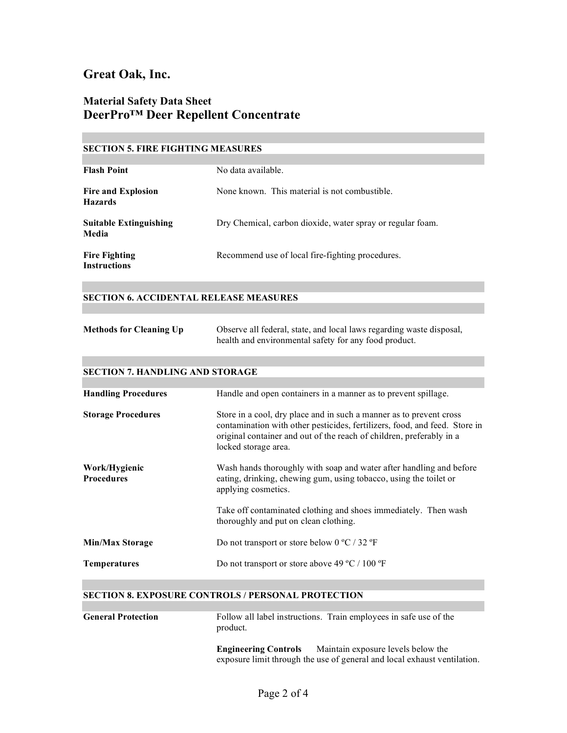## **Material Safety Data Sheet DeerPro™ Deer Repellent Concentrate**

### **SECTION 5. FIRE FIGHTING MEASURES**

| <b>Flash Point</b>                          | No data available.                                         |
|---------------------------------------------|------------------------------------------------------------|
| <b>Fire and Explosion</b><br><b>Hazards</b> | None known. This material is not combustible.              |
| <b>Suitable Extinguishing</b><br>Media      | Dry Chemical, carbon dioxide, water spray or regular foam. |
| <b>Fire Fighting</b><br><b>Instructions</b> | Recommend use of local fire-fighting procedures.           |

### **SECTION 6. ACCIDENTAL RELEASE MEASURES**

| <b>Methods for Cleaning Up</b> | Observe all federal, state, and local laws regarding waste disposal, |
|--------------------------------|----------------------------------------------------------------------|
|                                | health and environmental safety for any food product.                |

### **SECTION 7. HANDLING AND STORAGE**

| <b>Handling Procedures</b>         | Handle and open containers in a manner as to prevent spillage.                                                                                                                                                                                    |
|------------------------------------|---------------------------------------------------------------------------------------------------------------------------------------------------------------------------------------------------------------------------------------------------|
| <b>Storage Procedures</b>          | Store in a cool, dry place and in such a manner as to prevent cross<br>contamination with other pesticides, fertilizers, food, and feed. Store in<br>original container and out of the reach of children, preferably in a<br>locked storage area. |
| Work/Hygienic<br><b>Procedures</b> | Wash hands thoroughly with soap and water after handling and before<br>eating, drinking, chewing gum, using tobacco, using the toilet or<br>applying cosmetics.                                                                                   |
|                                    | Take off contaminated clothing and shoes immediately. Then wash<br>thoroughly and put on clean clothing.                                                                                                                                          |
| <b>Min/Max Storage</b>             | Do not transport or store below $0^{\circ}$ C / 32 $^{\circ}$ F                                                                                                                                                                                   |
| <b>Temperatures</b>                | Do not transport or store above 49 $^{\circ}$ C / 100 $^{\circ}$ F                                                                                                                                                                                |

### **SECTION 8. EXPOSURE CONTROLS / PERSONAL PROTECTION**

| <b>General Protection</b> | product.                    | Follow all label instructions. Train employees in safe use of the |
|---------------------------|-----------------------------|-------------------------------------------------------------------|
|                           | <b>Engineering Controls</b> | Maintain exposure levels below the                                |

exposure limit through the use of general and local exhaust ventilation.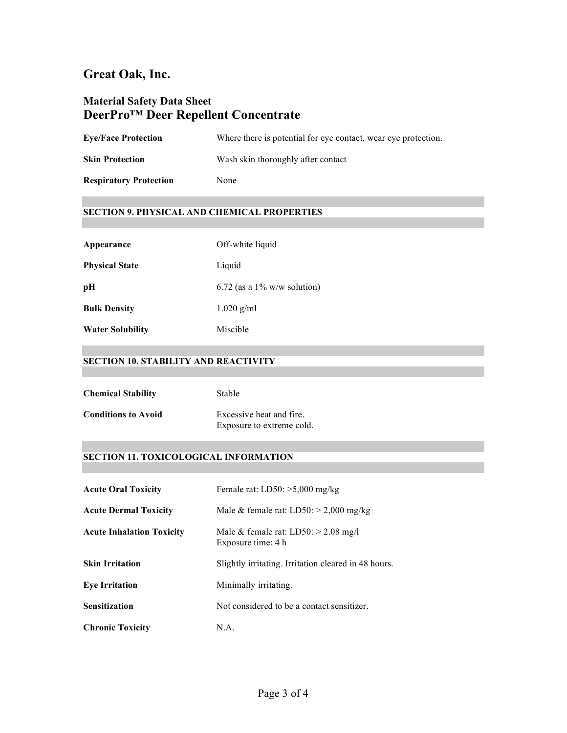# **Material Safety Data Sheet DeerPro™ Deer Repellent Concentrate**

**Eye/Face Protection** Where there is potential for eye contact, wear eye protection.

**Skin Protection** Wash skin thoroughly after contact

**Respiratory Protection** None

### **SECTION 9. PHYSICAL AND CHEMICAL PROPERTIES**

| Appearance              | Off-white liquid               |
|-------------------------|--------------------------------|
| <b>Physical State</b>   | Liquid                         |
| pH                      | 6.72 (as a $1\%$ w/w solution) |
| <b>Bulk Density</b>     | $1.020$ g/ml                   |
| <b>Water Solubility</b> | Miscible                       |

### **SECTION 10. STABILITY AND REACTIVITY**

| <b>Chemical Stability</b>  | Stable                                                |
|----------------------------|-------------------------------------------------------|
| <b>Conditions to Avoid</b> | Excessive heat and fire.<br>Exposure to extreme cold. |

### **SECTION 11. TOXICOLOGICAL INFORMATION**

| <b>Acute Oral Toxicity</b>       | Female rat: $LD50: >5,000$ mg/kg                             |
|----------------------------------|--------------------------------------------------------------|
| <b>Acute Dermal Toxicity</b>     | Male & female rat: $LD50: > 2,000$ mg/kg                     |
| <b>Acute Inhalation Toxicity</b> | Male & female rat: $LD50: > 2.08$ mg/l<br>Exposure time: 4 h |
| <b>Skin Irritation</b>           | Slightly irritating. Irritation cleared in 48 hours.         |
| <b>Eye Irritation</b>            | Minimally irritating.                                        |
| <b>Sensitization</b>             | Not considered to be a contact sensitizer.                   |
| <b>Chronic Toxicity</b>          | N.A.                                                         |